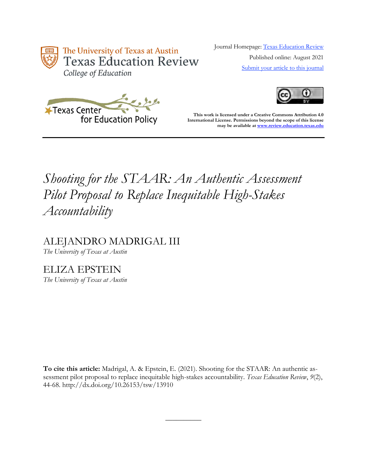

Journal Homepage: [Texas Education Review](https://review.education.utexas.edu/) Published online: August 2021 [Submit your article to this journal](https://review.education.utexas.edu/guidelines/)





**This work is licensed under a Creative Commons Attribution 4.0 International License. Permissions beyond the scope of this license may be available a[t www.review.education.texas.edu](http://www.review.education.texas.edu/)**

# *Shooting for the STAAR: An Authentic Assessment Pilot Proposal to Replace Inequitable High-Stakes Accountability*

ALEJANDRO MADRIGAL III *The University of Texas at Austin*

ELIZA EPSTEIN *The University of Texas at Austin*

**To cite this article:** Madrigal, A. & Epstein, E. (2021). Shooting for the STAAR: An authentic assessment pilot proposal to replace inequitable high-stakes accountability. *Texas Education Review*, *9*(2), 44-68. http://dx.doi.org/10.26153/tsw/13910

 $\overline{\phantom{a}}$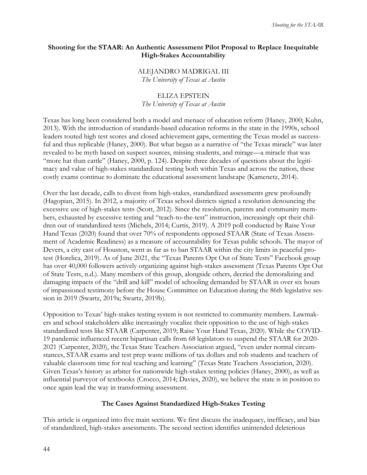#### **Shooting for the STAAR: An Authentic Assessment Pilot Proposal to Replace Inequitable High-Stakes Accountability**

#### ALEJANDRO MADRIGAL III *The University of Texas at Austin*

## ELIZA EPSTEIN

*The University of Texas at Austin*

Texas has long been considered both a model and menace of education reform (Haney, 2000; Kuhn, 2013). With the introduction of standards-based education reforms in the state in the 1990s, school leaders touted high test scores and closed achievement gaps, cementing the Texas model as successful and thus replicable (Haney, 2000). But what began as a narrative of "the Texas miracle" was later revealed to be myth based on suspect sources, missing students, and mirage—a miracle that was "more hat than cattle" (Haney, 2000, p. 124). Despite three decades of questions about the legitimacy and value of high-stakes standardized testing both within Texas and across the nation, these costly exams continue to dominate the educational assessment landscape (Kamenetz, 2014).

Over the last decade, calls to divest from high-stakes, standardized assessments grew profoundly (Hagopian, 2015). In 2012, a majority of Texas school districts signed a resolution denouncing the excessive use of high-stakes tests (Scott, 2012). Since the resolution, parents and community members, exhausted by excessive testing and "teach-to-the-test" instruction, increasingly opt their children out of standardized tests (Michels, 2014; Curtis, 2019). A 2019 poll conducted by Raise Your Hand Texas (2020) found that over 70% of respondents opposed STAAR (State of Texas Assessment of Academic Readiness) as a measure of accountability for Texas public schools. The mayor of Devers, a city east of Houston, went as far as to ban STAAR within the city limits in peaceful protest (Horelica, 2019). As of June 2021, the "Texas Parents Opt Out of State Tests" Facebook group has over 40,000 followers actively organizing against high-stakes assessment (Texas Parents Opt Out of State Tests, n.d.). Many members of this group, alongside others, decried the demoralizing and damaging impacts of the "drill and kill" model of schooling demanded by STAAR in over six hours of impassioned testimony before the House Committee on Education during the 86th legislative session in 2019 (Swartz, 2019a; Swartz, 2019b).

Opposition to Texas' high-stakes testing system is not restricted to community members. Lawmakers and school stakeholders alike increasingly vocalize their opposition to the use of high-stakes standardized tests like STAAR (Carpenter, 2019; Raise Your Hand Texas, 2020). While the COVID-19 pandemic influenced recent bipartisan calls from 68 legislators to suspend the STAAR for 2020- 2021 (Carpenter, 2020), the Texas State Teachers Association argued, "even under normal circumstances, STAAR exams and test prep waste millions of tax dollars and rob students and teachers of valuable classroom time for real teaching and learning" (Texas State Teachers Association, 2020). Given Texas's history as arbiter for nationwide high-stakes testing policies (Haney, 2000), as well as influential purveyor of textbooks (Crocco, 2014; Davies, 2020), we believe the state is in position to once again lead the way in transforming assessment.

#### **The Cases Against Standardized High-Stakes Testing**

This article is organized into five main sections. We first discuss the inadequacy, inefficacy, and bias of standardized, high-stakes assessments. The second section identifies unintended deleterious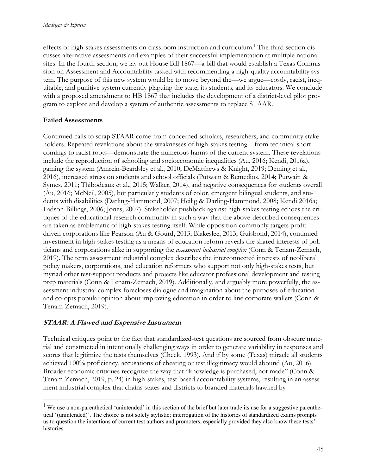effects of high-stakes assessments on classroom instruction and curriculum.<sup>1</sup> The third section discusses alternative assessments and examples of their successful implementation at multiple national sites. In the fourth section, we lay out House Bill 1867—a bill that would establish a Texas Commission on Assessment and Accountability tasked with recommending a high-quality accountability system. The purpose of this new system would be to move beyond the—we argue—costly, racist, inequitable, and punitive system currently plaguing the state, its students, and its educators. We conclude with a proposed amendment to HB 1867 that includes the development of a district-level pilot program to explore and develop a system of authentic assessments to replace STAAR.

#### **Failed Assessments**

Continued calls to scrap STAAR come from concerned scholars, researchers, and community stakeholders. Repeated revelations about the weaknesses of high-stakes testing—from technical shortcomings to racist roots—demonstrate the numerous harms of the current system. These revelations include the reproduction of schooling and socioeconomic inequalities (Au, 2016; Kendi, 2016a), gaming the system (Amrein-Beardsley et al., 2010; DeMatthews & Knight, 2019; Deming et al., 2016), increased stress on students and school officials (Putwain & Remedios, 2014; Putwain & Symes, 2011; Thibodeaux et al., 2015; Walker, 2014), and negative consequences for students overall (Au, 2016; McNeil, 2005), but particularly students of color, emergent bilingual students, and students with disabilities (Darling-Hammond, 2007; Heilig & Darling-Hammond, 2008; Kendi 2016a; Ladson-Billings, 2006; Jones, 2007). Stakeholder pushback against high-stakes testing echoes the critiques of the educational research community in such a way that the above-described consequences are taken as emblematic of high-stakes testing itself. While opposition commonly targets profitdriven corporations like Pearson (Au & Gourd, 2013; Blakeslee, 2013; Guisbond, 2014), continued investment in high-stakes testing as a means of education reform reveals the shared interests of politicians and corporations alike in supporting the *assessment industrial complex* (Conn & Tenam-Zemach, 2019). The term assessment industrial complex describes the interconnected interests of neoliberal policy makers, corporations, and education reformers who support not only high-stakes tests, but myriad other test-support products and projects like educator professional development and testing prep materials (Conn & Tenam-Zemach, 2019). Additionally, and arguably more powerfully, the assessment industrial complex forecloses dialogue and imagination about the purposes of education and co-opts popular opinion about improving education in order to line corporate wallets (Conn & Tenam-Zemach, 2019).

## **STAAR: A Flawed and Expensive Instrument**

Technical critiques point to the fact that standardized-test questions are sourced from obscure material and constructed in intentionally challenging ways in order to generate variability in responses and scores that legitimize the tests themselves (Cheek, 1993). And if by some (Texas) miracle all students achieved 100% proficiency, accusations of cheating or test illegitimacy would abound (Au, 2016). Broader economic critiques recognize the way that "knowledge is purchased, not made" (Conn & Tenam-Zemach, 2019, p. 24) in high-stakes, test-based accountability systems, resulting in an assessment industrial complex that chains states and districts to branded materials hawked by

<sup>&</sup>lt;sup>1</sup> We use a non-parenthetical 'unintended' in this section of the brief but later trade its use for a suggestive parenthetical '(unintended)'. The choice is not solely stylistic; interrogation of the histories of standardized exams prompts us to question the intentions of current test authors and promoters, especially provided they also know these tests' histories.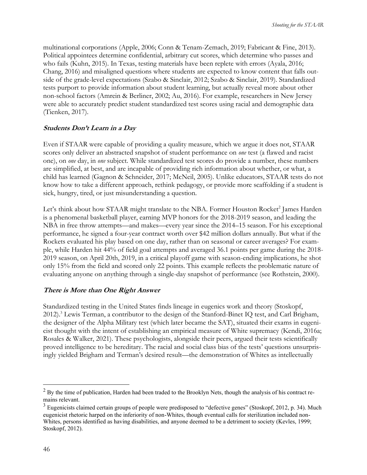multinational corporations (Apple, 2006; Conn & Tenam-Zemach, 2019; Fabricant & Fine, 2013). Political appointees determine confidential, arbitrary cut scores, which determine who passes and who fails (Kuhn, 2015). In Texas, testing materials have been replete with errors (Ayala, 2016; Chang, 2016) and misaligned questions where students are expected to know content that falls outside of the grade-level expectations (Szabo & Sinclair, 2012; Szabo & Sinclair, 2019). Standardized tests purport to provide information about student learning, but actually reveal more about other non-school factors (Amrein & Berliner, 2002; Au, 2016). For example, researchers in New Jersey were able to accurately predict student standardized test scores using racial and demographic data (Tienken, 2017).

#### **Students Don't Learn in a Day**

Even if STAAR were capable of providing a quality measure, which we argue it does not, STAAR scores only deliver an abstracted snapshot of student performance on *one* test (a flawed and racist one), on *one* day, in *one* subject. While standardized test scores do provide a number, these numbers are simplified, at best, and are incapable of providing rich information about whether, or what, a child has learned (Gagnon & Schneider, 2017; McNeil, 2005). Unlike educators, STAAR tests do not know how to take a different approach, rethink pedagogy, or provide more scaffolding if a student is sick, hungry, tired, or just misunderstanding a question.

Let's think about how STAAR might translate to the NBA. Former Houston Rocket<sup>2</sup> James Harden is a phenomenal basketball player, earning MVP honors for the 2018-2019 season, and leading the NBA in free throw attempts—and makes—every year since the 2014–15 season. For his exceptional performance, he signed a four-year contract worth over \$42 million dollars annually. But what if the Rockets evaluated his play based on one day, rather than on seasonal or career averages? For example, while Harden hit 44% of field goal attempts and averaged 36.1 points per game during the 2018- 2019 season, on April 20th, 2019, in a critical playoff game with season-ending implications, he shot only 15% from the field and scored only 22 points. This example reflects the problematic nature of evaluating anyone on anything through a single-day snapshot of performance (see Rothstein, 2000).

#### **There is More than One Right Answer**

Standardized testing in the United States finds lineage in eugenics work and theory (Stoskopf, 2012).<sup>3</sup> Lewis Terman, a contributor to the design of the Stanford-Binet IQ test, and Carl Brigham, the designer of the Alpha Military test (which later became the SAT), situated their exams in eugenicist thought with the intent of establishing an empirical measure of White supremacy (Kendi, 2016a; Rosales & Walker, 2021). These psychologists, alongside their peers, argued their tests scientifically proved intelligence to be hereditary. The racial and social class bias of the tests' questions unsurprisingly yielded Brigham and Terman's desired result—the demonstration of Whites as intellectually

 $2$  By the time of publication, Harden had been traded to the Brooklyn Nets, though the analysis of his contract remains relevant.

 $3$  Eugenicists claimed certain groups of people were predisposed to "defective genes" (Stoskopf, 2012, p. 34). Much eugenicist rhetoric harped on the inferiority of non-Whites, though eventual calls for sterilization included non-Whites, persons identified as having disabilities, and anyone deemed to be a detriment to society (Kevles, 1999; Stoskopf, 2012).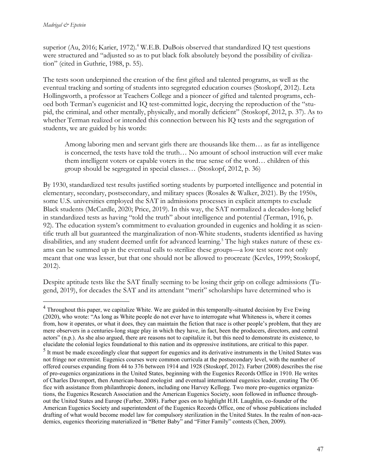superior (Au, 2016; Karier, 1972).<sup>4</sup> W.E.B. DuBois observed that standardized IQ test questions were structured and "adjusted so as to put black folk absolutely beyond the possibility of civilization" (cited in Guthrie, 1988, p. 55).

The tests soon underpinned the creation of the first gifted and talented programs, as well as the eventual tracking and sorting of students into segregated education courses (Stoskopf, 2012). Leta Hollingworth, a professor at Teachers College and a pioneer of gifted and talented programs, echoed both Terman's eugenicist and IQ test-committed logic, decrying the reproduction of the "stupid, the criminal, and other mentally, physically, and morally deficient" (Stoskopf, 2012, p. 37). As to whether Terman realized or intended this connection between his IQ tests and the segregation of students, we are guided by his words:

Among laboring men and servant girls there are thousands like them… as far as intelligence is concerned, the tests have told the truth… No amount of school instruction will ever make them intelligent voters or capable voters in the true sense of the word… children of this group should be segregated in special classes… (Stoskopf, 2012, p. 36)

By 1930, standardized test results justified sorting students by purported intelligence and potential in elementary, secondary, postsecondary, and military spaces (Rosales & Walker, 2021). By the 1950s, some U.S. universities employed the SAT in admissions processes in explicit attempts to exclude Black students (McCardle, 2020; Price, 2019). In this way, the SAT normalized a decades-long belief in standardized tests as having "told the truth" about intelligence and potential (Terman, 1916, p. 92). The education system's commitment to evaluation grounded in eugenics and holding it as scientific truth all but guaranteed the marginalization of non-White students, students identified as having disabilities, and any student deemed unfit for advanced learning.<sup>5</sup> The high stakes nature of these exams can be summed up in the eventual calls to sterilize these groups—a low test score not only meant that one was lesser, but that one should not be allowed to procreate (Kevles, 1999; Stoskopf, 2012).

Despite aptitude tests like the SAT finally seeming to be losing their grip on college admissions (Tugend, 2019), for decades the SAT and its attendant "merit" scholarships have determined who is

<sup>&</sup>lt;sup>4</sup> Throughout this paper, we capitalize White. We are guided in this temporally-situated decision by Eve Ewing (2020), who wrote: "As long as White people do not ever have to interrogate what Whiteness is, where it comes from, how it operates, or what it does, they can maintain the fiction that race is other people's problem, that they are mere observers in a centuries-long stage play in which they have, in fact, been the producers, directors, and central actors" (n.p.). As she also argued, there are reasons not to capitalize it, but this need to demonstrate its existence, to elucidate the colonial logics foundational to this nation and its oppressive institutions, are critical to this paper.

 $<sup>5</sup>$  It must be made exceedingly clear that support for eugenics and its derivative instruments in the United States was</sup> not fringe nor extremist. Eugenics courses were common curricula at the postsecondary level, with the number of offered courses expanding from 44 to 376 between 1914 and 1928 (Stoskopf, 2012). Farber (2008) describes the rise of pro-eugenics organizations in the United States, beginning with the Eugenics Records Office in 1910. He writes of Charles Davenport, then American-based zoologist and eventual international eugenics leader, creating The Office with assistance from philanthropic donors, including one Harvey Kellogg. Two more pro-eugenics organizations, the Eugenics Research Association and the American Eugenics Society, soon followed in influence throughout the United States and Europe (Farber, 2008). Farber goes on to highlight H.H. Laughlin, co-founder of the American Eugenics Society and superintendent of the Eugenics Records Office, one of whose publications included drafting of what would become model law for compulsory sterilization in the United States. In the realm of non-academics, eugenics theorizing materialized in "Better Baby" and "Fitter Family" contests (Chen, 2009).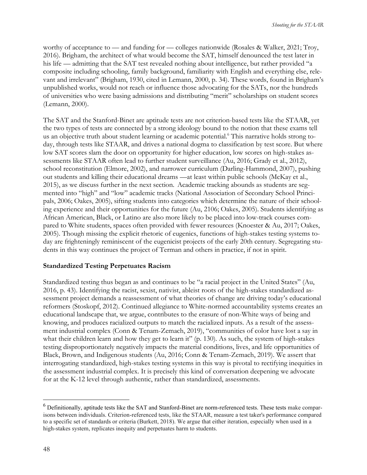worthy of acceptance to — and funding for — colleges nationwide (Rosales & Walker, 2021; Troy, 2016). Brigham, the architect of what would become the SAT, himself denounced the test later in his life — admitting that the SAT test revealed nothing about intelligence, but rather provided "a composite including schooling, family background, familiarity with English and everything else, relevant and irrelevant" (Brigham, 1930, cited in Lemann, 2000, p. 34). These words, found in Brigham's unpublished works, would not reach or influence those advocating for the SATs, nor the hundreds of universities who were basing admissions and distributing "merit" scholarships on student scores (Lemann, 2000).

The SAT and the Stanford-Binet are aptitude tests are not criterion-based tests like the STAAR, yet the two types of tests are connected by a strong ideology bound to the notion that these exams tell us an objective truth about student learning or academic potential.<sup>6</sup> This narrative holds strong today, through tests like STAAR, and drives a national dogma to classification by test score. But where low SAT scores slam the door on opportunity for higher education, low scores on high-stakes assessments like STAAR often lead to further student surveillance (Au, 2016; Grady et al., 2012), school reconstitution (Elmore, 2002), and narrower curriculum (Darling-Hammond, 2007), pushing out students and killing their educational dreams —at least within public schools (McKay et al., 2015), as we discuss further in the next section. Academic tracking abounds as students are segmented into "high" and "low" academic tracks (National Association of Secondary School Principals, 2006; Oakes, 2005), sifting students into categories which determine the nature of their schooling experience and their opportunities for the future (Au, 2106; Oakes, 2005). Students identifying as African American, Black, or Latino are also more likely to be placed into low-track courses compared to White students, spaces often provided with fewer resources (Knoester & Au, 2017; Oakes, 2005). Though missing the explicit rhetoric of eugenics, functions of high-stakes testing systems today are frighteningly reminiscent of the eugenicist projects of the early 20th century. Segregating students in this way continues the project of Terman and others in practice, if not in spirit.

#### **Standardized Testing Perpetuates Racism**

Standardized testing thus began as and continues to be "a racial project in the United States" (Au, 2016, p. 43). Identifying the racist, sexist, nativist, ableist roots of the high-stakes standardized assessment project demands a reassessment of what theories of change are driving today's educational reformers (Stoskopf, 2012). Continued allegiance to White-normed accountability systems creates an educational landscape that, we argue, contributes to the erasure of non-White ways of being and knowing, and produces racialized outputs to match the racialized inputs. As a result of the assessment industrial complex (Conn & Tenam-Zemach, 2019), "communities of color have lost a say in what their children learn and how they get to learn it" (p. 130). As such, the system of high-stakes testing disproportionately negatively impacts the material conditions, lives, and life opportunities of Black, Brown, and Indigenous students (Au, 2016; Conn & Tenam-Zemach, 2019). We assert that interrogating standardized, high-stakes testing systems in this way is pivotal to rectifying inequities in the assessment industrial complex. It is precisely this kind of conversation deepening we advocate for at the K-12 level through authentic, rather than standardized, assessments.

<sup>&</sup>lt;sup>6</sup> Definitionally, aptitude tests like the SAT and Stanford-Binet are norm-referenced tests. These tests make comparisons between individuals. Criterion-referenced tests, like the STAAR, measure a test taker's performance compared to a specific set of standards or criteria (Burkett, 2018). We argue that either iteration, especially when used in a high-stakes system, replicates inequity and perpetuates harm to students.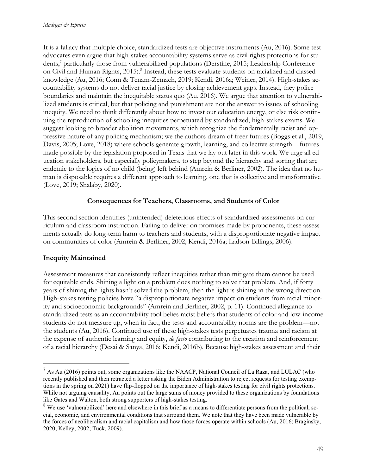It is a fallacy that multiple choice, standardized tests are objective instruments (Au, 2016). Some test advocates even argue that high-stakes accountability systems serve as civil rights protections for students,<sup>7</sup> particularly those from vulnerabilized populations (Derstine, 2015; Leadership Conference on Civil and Human Rights, 2015).<sup>8</sup> Instead, these tests evaluate students on racialized and classed knowledge (Au, 2016; Conn & Tenam-Zemach, 2019; Kendi, 2016a; Weiner, 2014). High-stakes accountability systems do not deliver racial justice by closing achievement gaps. Instead, they police boundaries and maintain the inequitable status quo (Au, 2016). We argue that attention to vulnerabilized students is critical, but that policing and punishment are not the answer to issues of schooling inequity. We need to think differently about how to invest our education energy, or else risk continuing the reproduction of schooling inequities perpetuated by standardized, high-stakes exams. We suggest looking to broader abolition movements, which recognize the fundamentally racist and oppressive nature of any policing mechanism; we the authors dream of freer futures (Boggs et al., 2019, Davis, 2005; Love, 2018) where schools generate growth, learning, and collective strength—futures made possible by the legislation proposed in Texas that we lay out later in this work. We urge all education stakeholders, but especially policymakers, to step beyond the hierarchy and sorting that are endemic to the logics of no child (being) left behind (Amrein & Berliner, 2002). The idea that no human is disposable requires a different approach to learning, one that is collective and transformative (Love, 2019; Shalaby, 2020).

#### **Consequences for Teachers, Classrooms, and Students of Color**

This second section identifies (unintended) deleterious effects of standardized assessments on curriculum and classroom instruction. Failing to deliver on promises made by proponents, these assessments actually do long-term harm to teachers and students, with a disproportionate negative impact on communities of color (Amrein & Berliner, 2002; Kendi, 2016a; Ladson-Billings, 2006).

## **Inequity Maintained**

Assessment measures that consistently reflect inequities rather than mitigate them cannot be used for equitable ends. Shining a light on a problem does nothing to solve that problem. And, if forty years of shining the lights hasn't solved the problem, then the light is shining in the wrong direction. High-stakes testing policies have "a disproportionate negative impact on students from racial minority and socioeconomic backgrounds" (Amrein and Berliner, 2002, p. 11). Continued allegiance to standardized tests as an accountability tool belies racist beliefs that students of color and low-income students do not measure up, when in fact, the tests and accountability norms are the problem—not the students (Au, 2016). Continued use of these high-stakes tests perpetuates trauma and racism at the expense of authentic learning and equity, *de facto* contributing to the creation and reinforcement of a racial hierarchy (Desai & Sanya, 2016; Kendi, 2016b). Because high-stakes assessment and their

 $<sup>7</sup>$  As Au (2016) points out, some organizations like the NAACP, National Council of La Raza, and LULAC (who</sup> recently published and then retracted a letter asking the Biden Administration to reject requests for testing exemptions in the spring on 2021) have flip-flopped on the importance of high-stakes testing for civil rights protections. While not arguing causality, Au points out the large sums of money provided to these organizations by foundations like Gates and Walton, both strong supporters of high-stakes testing.

<sup>&</sup>lt;sup>8</sup> We use 'vulnerabilized' here and elsewhere in this brief as a means to differentiate persons from the political, social, economic, and environmental conditions that surround them. We note that they have been made vulnerable by the forces of neoliberalism and racial capitalism and how those forces operate within schools (Au, 2016; Braginsky, 2020; Kelley, 2002; Tuck, 2009).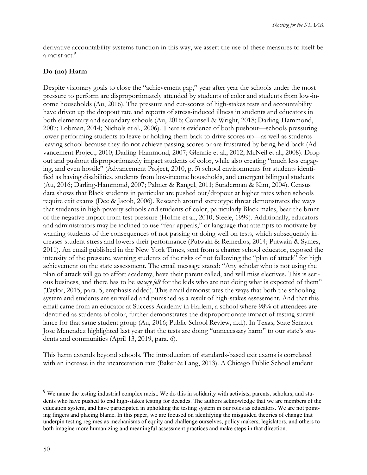derivative accountability systems function in this way, we assert the use of these measures to itself be a racist act.<sup>9</sup>

## **Do (no) Harm**

Despite visionary goals to close the "achievement gap," year after year the schools under the most pressure to perform are disproportionately attended by students of color and students from low-income households (Au, 2016). The pressure and cut-scores of high-stakes tests and accountability have driven up the dropout rate and reports of stress-induced illness in students and educators in both elementary and secondary schools (Au, 2016; Counsell & Wright, 2018; Darling-Hammond, 2007; Lobman, 2014; Nichols et al., 2006). There is evidence of both pushout—schools pressuring lower-performing students to leave or holding them back to drive scores up—as well as students leaving school because they do not achieve passing scores or are frustrated by being held back (Advancement Project, 2010; Darling-Hammond, 2007; Glennie et al., 2012; McNeil et al., 2008). Dropout and pushout disproportionately impact students of color, while also creating "much less engaging, and even hostile" (Advancement Project, 2010, p. 5) school environments for students identified as having disabilities, students from low-income households, and emergent bilingual students (Au, 2016; Darling-Hammond, 2007; Palmer & Rangel, 2011; Sunderman & Kim, 2004). Census data shows that Black students in particular are pushed out/dropout at higher rates when schools require exit exams (Dee & Jacob, 2006). Research around stereotype threat demonstrates the ways that students in high-poverty schools and students of color, particularly Black males, bear the brunt of the negative impact from test pressure (Holme et al., 2010; Steele, 1999). Additionally, educators and administrators may be inclined to use "fear-appeals," or language that attempts to motivate by warning students of the consequences of not passing or doing well on tests, which subsequently increases student stress and lowers their performance (Putwain & Remedios, 2014; Putwain & Symes, 2011). An email published in the New York Times, sent from a charter school educator, exposed the intensity of the pressure, warning students of the risks of not following the "plan of attack" for high achievement on the state assessment. The email message stated: "Any scholar who is not using the plan of attack will go to effort academy, have their parent called, and will miss electives. This is serious business, and there has to be *misery felt* for the kids who are not doing what is expected of them" (Taylor, 2015, para. 5, emphasis added). This email demonstrates the ways that both the schooling system and students are surveilled and punished as a result of high-stakes assessment. And that this email came from an educator at Success Academy in Harlem, a school where 98% of attendees are identified as students of color, further demonstrates the disproportionate impact of testing surveillance for that same student group (Au, 2016; Public School Review, n.d.). In Texas, State Senator Jose Menendez highlighted last year that the tests are doing "unnecessary harm" to our state's students and communities (April 13, 2019, para. 6).

This harm extends beyond schools. The introduction of standards-based exit exams is correlated with an increase in the incarceration rate (Baker & Lang, 2013). A Chicago Public School student

<sup>&</sup>lt;sup>9</sup> We name the testing industrial complex racist. We do this in solidarity with activists, parents, scholars, and students who have pushed to end high-stakes testing for decades. The authors acknowledge that we are members of the education system, and have participated in upholding the testing system in our roles as educators. We are not pointing fingers and placing blame. In this paper, we are focused on identifying the misguided theories of change that underpin testing regimes as mechanisms of equity and challenge ourselves, policy makers, legislators, and others to both imagine more humanizing and meaningful assessment practices and make steps in that direction.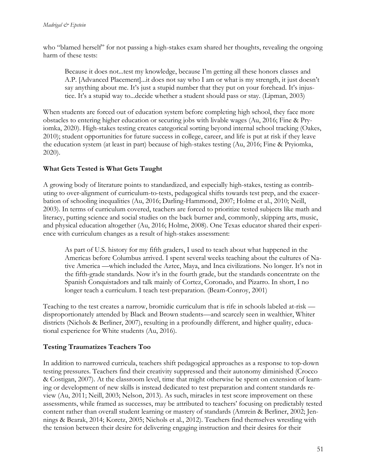who "blamed herself" for not passing a high-stakes exam shared her thoughts, revealing the ongoing harm of these tests:

Because it does not...test my knowledge, because I'm getting all these honors classes and A.P. [Advanced Placement]...it does not say who I am or what is my strength, it just doesn't say anything about me. It's just a stupid number that they put on your forehead. It's injustice. It's a stupid way to...decide whether a student should pass or stay. (Lipman, 2003)

When students are forced out of education system before completing high school, they face more obstacles to entering higher education or securing jobs with livable wages (Au, 2016; Fine & Pryiomka, 2020). High-stakes testing creates categorical sorting beyond internal school tracking (Oakes, 2010); student opportunities for future success in college, career, and life is put at risk if they leave the education system (at least in part) because of high-stakes testing (Au, 2016; Fine & Pryiomka, 2020).

## **What Gets Tested is What Gets Taught**

A growing body of literature points to standardized, and especially high-stakes, testing as contributing to over-alignment of curriculum-to-tests, pedagogical shifts towards test prep, and the exacerbation of schooling inequalities (Au, 2016; Darling-Hammond, 2007; Holme et al., 2010; Neill, 2003). In terms of curriculum covered, teachers are forced to prioritize tested subjects like math and literacy, putting science and social studies on the back burner and, commonly, skipping arts, music, and physical education altogether (Au, 2016; Holme, 2008). One Texas educator shared their experience with curriculum changes as a result of high-stakes assessment:

As part of U.S. history for my fifth graders, I used to teach about what happened in the Americas before Columbus arrived. I spent several weeks teaching about the cultures of Native America —which included the Aztec, Maya, and Inca civilizations. No longer. It's not in the fifth-grade standards. Now it's in the fourth grade, but the standards concentrate on the Spanish Conquistadors and talk mainly of Cortez, Coronado, and Pizarro. In short, I no longer teach a curriculum. I teach test-preparation. (Beam-Conroy, 2001)

Teaching to the test creates a narrow, bromidic curriculum that is rife in schools labeled at-risk disproportionately attended by Black and Brown students—and scarcely seen in wealthier, Whiter districts (Nichols & Berliner, 2007), resulting in a profoundly different, and higher quality, educational experience for White students (Au, 2016).

## **Testing Traumatizes Teachers Too**

In addition to narrowed curricula, teachers shift pedagogical approaches as a response to top-down testing pressures. Teachers find their creativity suppressed and their autonomy diminished (Crocco & Costigan, 2007). At the classroom level, time that might otherwise be spent on extension of learning or development of new skills is instead dedicated to test preparation and content standards review (Au, 2011; Neill, 2003; Nelson, 2013). As such, miracles in test score improvement on these assessments, while framed as successes, may be attributed to teachers' focusing on predictably tested content rather than overall student learning or mastery of standards (Amrein & Berliner, 2002; Jennings & Bearak, 2014; Koretz, 2005; Nichols et al., 2012). Teachers find themselves wrestling with the tension between their desire for delivering engaging instruction and their desires for their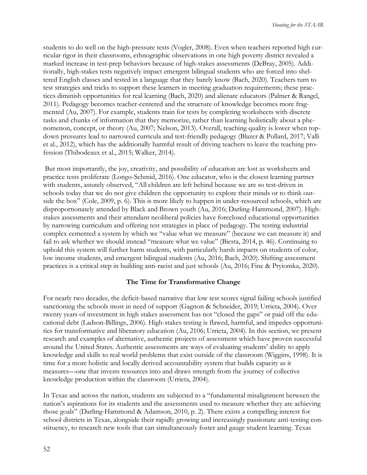students to do well on the high-pressure tests (Vogler, 2008). Even when teachers reported high curricular rigor in their classrooms, ethnographic observations in one high poverty district revealed a marked increase in test-prep behaviors because of high-stakes assessments (DeBray, 2005). Additionally, high-stakes tests negatively impact emergent bilingual students who are forced into sheltered English classes and tested in a language that they barely know (Bach, 2020). Teachers turn to test strategies and tricks to support these learners in meeting graduation requirements; these practices diminish opportunities for real learning (Bach, 2020) and alienate educators (Palmer & Rangel, 2011). Pedagogy becomes teacher-centered and the structure of knowledge becomes more fragmented (Au, 2007). For example, students train for tests by completing worksheets with discrete tasks and chunks of information that they memorize, rather than learning holistically about a phenomenon, concept, or theory (Au, 2007; Nelson, 2013). Overall, teaching quality is lower when topdown pressures lead to narrowed curricula and test-friendly pedagogy (Blazer & Pollard, 2017; Valli et al., 2012), which has the additionally harmful result of driving teachers to leave the teaching profession (Thibodeaux et al., 2015; Walker, 2014).

But most importantly, the joy, creativity, and possibility of education are lost as worksheets and practice tests proliferate (Longo-Schmid, 2016). One educator, who is the closest learning partner with students, astutely observed, "All children are left behind because we are so test-driven in schools today that we do not give children the opportunity to explore their minds or to think outside the box" (Cole, 2009, p. 6). This is more likely to happen in under-resourced schools, which are disproportionately attended by Black and Brown youth (Au, 2016; Darling-Hammond, 2007). Highstakes assessments and their attendant neoliberal policies have foreclosed educational opportunities by narrowing curriculum and offering test strategies in place of pedagogy. The testing industrial complex cemented a system by which we "value what we measure" (because we can measure it) and fail to ask whether we should instead "measure what we value" (Biesta, 2014, p. 46). Continuing to uphold this system will further harm students, with particularly harsh impacts on students of color, low income students, and emergent bilingual students (Au, 2016; Bach, 2020). Shifting assessment practices is a critical step in building anti-racist and just schools (Au, 2016; Fine & Pryiomka, 2020).

#### **The Time for Transformative Change**

For nearly two decades, the deficit-based narrative that low test scores signal failing schools justified sanctioning the schools most in need of support (Gagnon & Schneider, 2019; Urrieta, 2004). Over twenty years of investment in high stakes assessment has not "closed the gaps" or paid off the educational debt (Ladson-Billings, 2006). High-stakes testing is flawed, harmful, and impedes opportunities for transformative and liberatory education (Au, 2106; Urrieta, 2004). In this section, we present research and examples of alternative, authentic projects of assessment which have proven successful around the United States. Authentic assessments are ways of evaluating students' ability to apply knowledge and skills to real world problems that exist outside of the classroom (Wiggins, 1998). It is time for a more holistic and locally derived accountability system that builds capacity as it measures—one that invests resources into and draws strength from the journey of collective knowledge production within the classroom (Urrieta, 2004).

In Texas and across the nation, students are subjected to a "fundamental misalignment between the nation's aspirations for its students and the assessments used to measure whether they are achieving those goals" (Darling-Hammond & Adamson, 2010, p. 2). There exists a compelling interest for school districts in Texas, alongside their rapidly growing and increasingly passionate anti-testing constituency, to research new tools that can simultaneously foster and gauge student learning. Texas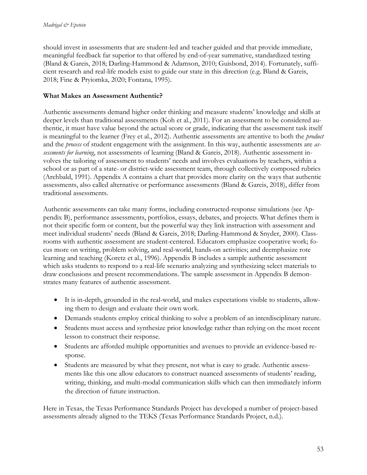should invest in assessments that are student-led and teacher guided and that provide immediate, meaningful feedback far superior to that offered by end-of-year summative, standardized testing (Bland & Gareis, 2018; Darling-Hammond & Adamson, 2010; Guisbond, 2014). Fortunately, sufficient research and real-life models exist to guide our state in this direction (e.g. Bland & Gareis, 2018; Fine & Pryiomka, 2020; Fontana, 1995).

#### **What Makes an Assessment Authentic?**

Authentic assessments demand higher order thinking and measure students' knowledge and skills at deeper levels than traditional assessments (Koh et al., 2011). For an assessment to be considered authentic, it must have value beyond the actual score or grade, indicating that the assessment task itself is meaningful to the learner (Frey et al., 2012). Authentic assessments are attentive to both the *product*  and the *process* of student engagement with the assignment. In this way, authentic assessments are *assessments for learning*, not assessments of learning (Bland & Gareis, 2018). Authentic assessment involves the tailoring of assessment to students' needs and involves evaluations by teachers, within a school or as part of a state- or district-wide assessment team, through collectively composed rubrics (Archbald, 1991). Appendix A contains a chart that provides more clarity on the ways that authentic assessments, also called alternative or performance assessments (Bland & Gareis, 2018), differ from traditional assessments.

Authentic assessments can take many forms, including constructed-response simulations (see Appendix B), performance assessments, portfolios, essays, debates, and projects. What defines them is not their specific form or content, but the powerful way they link instruction with assessment and meet individual students' needs (Bland & Gareis, 2018; Darling-Hammond & Snyder, 2000). Classrooms with authentic assessment are student-centered. Educators emphasize cooperative work; focus more on writing, problem solving, and real-world, hands-on activities; and deemphasize rote learning and teaching (Koretz et al., 1996). Appendix B includes a sample authentic assessment which asks students to respond to a real-life scenario analyzing and synthesizing select materials to draw conclusions and present recommendations. The sample assessment in Appendix B demonstrates many features of authentic assessment.

- It is in-depth, grounded in the real-world, and makes expectations visible to students, allowing them to design and evaluate their own work.
- Demands students employ critical thinking to solve a problem of an interdisciplinary nature.
- Students must access and synthesize prior knowledge rather than relying on the most recent lesson to construct their response.
- Students are afforded multiple opportunities and avenues to provide an evidence-based response.
- Students are measured by what they present, not what is easy to grade. Authentic assessments like this one allow educators to construct nuanced assessments of students' reading, writing, thinking, and multi-modal communication skills which can then immediately inform the direction of future instruction.

Here in Texas, the Texas Performance Standards Project has developed a number of project-based assessments already aligned to the TEKS (Texas Performance Standards Project, n.d.).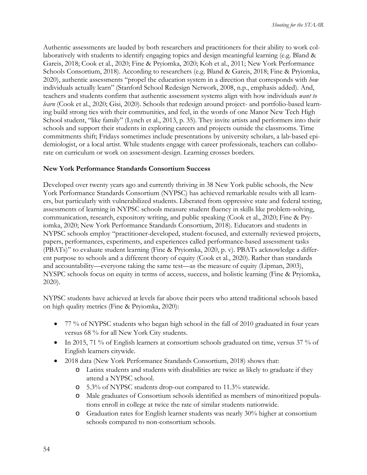Authentic assessments are lauded by both researchers and practitioners for their ability to work collaboratively with students to identify engaging topics and design meaningful learning (e.g. Bland & Gareis, 2018; Cook et al., 2020; Fine & Pryiomka, 2020; Koh et al., 2011; New York Performance Schools Consortium, 2018). According to researchers (e.g. Bland & Gareis, 2018; Fine & Pryiomka, 2020), authentic assessments "propel the education system in a direction that corresponds with *how* individuals actually learn" (Stanford School Redesign Network, 2008, n.p., emphasis added). And, teachers and students confirm that authentic assessment systems align with how individuals *want to learn* (Cook et al., 2020; Gisi, 2020). Schools that redesign around project- and portfolio-based learning build strong ties with their communities, and feel, in the words of one Manor New Tech High School student, "like family" (Lynch et al., 2013, p. 35). They invite artists and performers into their schools and support their students in exploring careers and projects outside the classrooms. Time commitments shift; Fridays sometimes include presentations by university scholars, a lab-based epidemiologist, or a local artist. While students engage with career professionals, teachers can collaborate on curriculum or work on assessment-design. Learning crosses borders.

#### **New York Performance Standards Consortium Success**

Developed over twenty years ago and currently thriving in 38 New York public schools, the New York Performance Standards Consortium (NYPSC) has achieved remarkable results with all learners, but particularly with vulnerabilized students. Liberated from oppressive state and federal testing, assessments of learning in NYPSC schools measure student fluency in skills like problem-solving, communication, research, expository writing, and public speaking (Cook et al., 2020; Fine & Pryiomka, 2020; New York Performance Standards Consortium, 2018). Educators and students in NYPSC schools employ "practitioner-developed, student-focused, and externally reviewed projects, papers, performances, experiments, and experiences called performance-based assessment tasks (PBATs)" to evaluate student learning (Fine & Pryiomka, 2020, p. v). PBATs acknowledge a different purpose to schools and a different theory of equity (Cook et al., 2020). Rather than standards and accountability—everyone taking the same test—as the measure of equity (Lipman, 2003), NYSPC schools focus on equity in terms of access, success, and holistic learning (Fine & Pryiomka, 2020).

NYPSC students have achieved at levels far above their peers who attend traditional schools based on high quality metrics (Fine & Pryiomka, 2020):

- 77 % of NYPSC students who began high school in the fall of 2010 graduated in four years versus 68 % for all New York City students.
- In 2015, 71 % of English learners at consortium schools graduated on time, versus 37 % of English learners citywide.
- 2018 data (New York Performance Standards Consortium, 2018) shows that:
	- o Latinx students and students with disabilities are twice as likely to graduate if they attend a NYPSC school.
	- o 5.3% of NYPSC students drop-out compared to 11.3% statewide.
	- o Male graduates of Consortium schools identified as members of minoritized populations enroll in college at twice the rate of similar students nationwide.
	- o Graduation rates for English learner students was nearly 30% higher at consortium schools compared to non-consortium schools.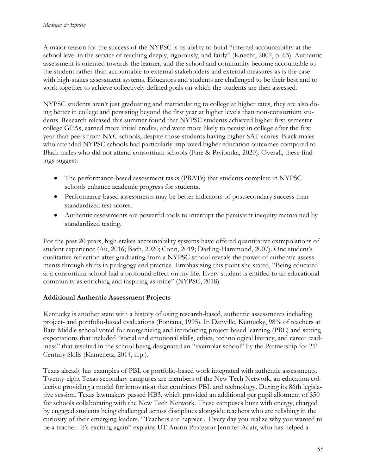A major reason for the success of the NYPSC is its ability to build "internal accountability at the school level in the service of teaching deeply, rigorously, and fairly" (Knecht, 2007, p. 63). Authentic assessment is oriented towards the learner, and the school and community become accountable to the student rather than accountable to external stakeholders and external measures as is the case with high-stakes assessment systems. Educators and students are challenged to be their best and to work together to achieve collectively defined goals on which the students are then assessed.

NYPSC students aren't just graduating and matriculating to college at higher rates, they are also doing better in college and persisting beyond the first year at higher levels than non-consortium students. Research released this summer found that NYPSC students achieved higher first-semester college GPAs, earned more initial credits, and were more likely to persist in college after the first year than peers from NYC schools, despite those students having higher SAT scores. Black males who attended NYPSC schools had particularly improved higher education outcomes compared to Black males who did not attend consortium schools (Fine & Pryiomka, 2020). Overall, these findings suggest:

- The performance-based assessment tasks (PBATs) that students complete in NYPSC schools enhance academic progress for students.
- Performance-based assessments may be better indicators of postsecondary success than standardized test scores.
- Authentic assessments are powerful tools to interrupt the persistent inequity maintained by standardized testing.

For the past 20 years, high-stakes accountability systems have offered quantitative extrapolations of student experience (Au, 2016; Bach, 2020; Conn, 2019; Darling-Hammond, 2007). One student's qualitative reflection after graduating from a NYPSC school reveals the power of authentic assessments through shifts in pedagogy and practice. Emphasizing this point she stated, "Being educated at a consortium school had a profound effect on my life. Every student is entitled to an educational community as enriching and inspiring as mine" (NYPSC, 2018).

## **Additional Authentic Assessment Projects**

Kentucky is another state with a history of using research-based, authentic assessments including project- and portfolio-based evaluations (Fontana, 1995). In Danville, Kentucky, 98% of teachers at Bate Middle school voted for reorganizing and introducing project-based learning (PBL) and setting expectations that included "social and emotional skills, ethics, technological literacy, and career readiness" that resulted in the school being designated an "exemplar school" by the Partnership for 21<sup>st</sup> Century Skills (Kamenetz, 2014, n.p.).

Texas already has examples of PBL or portfolio-based work integrated with authentic assessments. Twenty-eight Texas secondary campuses are members of the New Tech Network, an education collective providing a model for innovation that combines PBL and technology. During its 86th legislative session, Texas lawmakers passed HB3, which provided an additional per pupil allotment of \$50 for schools collaborating with the New Tech Network. These campuses buzz with energy, charged by engaged students being challenged across disciplines alongside teachers who are relishing in the curiosity of their emerging leaders. "Teachers are happier... Every day you realize why you wanted to be a teacher. It's exciting again" explains UT Austin Professor Jennifer Adair, who has helped a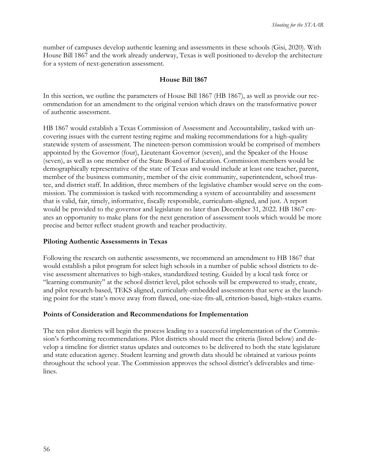number of campuses develop authentic learning and assessments in these schools (Gisi, 2020). With House Bill 1867 and the work already underway, Texas is well positioned to develop the architecture for a system of next-generation assessment.

#### **House Bill 1867**

In this section, we outline the parameters of House Bill 1867 (HB 1867), as well as provide our recommendation for an amendment to the original version which draws on the transformative power of authentic assessment.

HB 1867 would establish a Texas Commission of Assessment and Accountability, tasked with uncovering issues with the current testing regime and making recommendations for a high-quality statewide system of assessment. The nineteen-person commission would be comprised of members appointed by the Governor (four), Lieutenant Governor (seven), and the Speaker of the House (seven), as well as one member of the State Board of Education. Commission members would be demographically representative of the state of Texas and would include at least one teacher, parent, member of the business community, member of the civic community, superintendent, school trustee, and district staff. In addition, three members of the legislative chamber would serve on the commission. The commission is tasked with recommending a system of accountability and assessment that is valid, fair, timely, informative, fiscally responsible, curriculum-aligned, and just. A report would be provided to the governor and legislature no later than December 31, 2022. HB 1867 creates an opportunity to make plans for the next generation of assessment tools which would be more precise and better reflect student growth and teacher productivity.

#### **Piloting Authentic Assessments in Texas**

Following the research on authentic assessments, we recommend an amendment to HB 1867 that would establish a pilot program for select high schools in a number of public school districts to devise assessment alternatives to high-stakes, standardized testing. Guided by a local task force or "learning community" at the school district level, pilot schools will be empowered to study, create, and pilot research-based, TEKS aligned, curricularly-embedded assessments that serve as the launching point for the state's move away from flawed, one-size-fits-all, criterion-based, high-stakes exams.

#### **Points of Consideration and Recommendations for Implementation**

The ten pilot districts will begin the process leading to a successful implementation of the Commission's forthcoming recommendations. Pilot districts should meet the criteria (listed below) and develop a timeline for district status updates and outcomes to be delivered to both the state legislature and state education agency. Student learning and growth data should be obtained at various points throughout the school year. The Commission approves the school district's deliverables and timelines.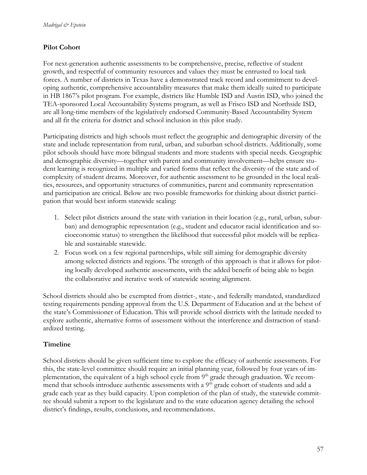## **Pilot Cohort**

For next-generation authentic assessments to be comprehensive, precise, reflective of student growth, and respectful of community resources and values they must be entrusted to local task forces. A number of districts in Texas have a demonstrated track record and commitment to developing authentic, comprehensive accountability measures that make them ideally suited to participate in HB 1867's pilot program. For example, districts like Humble ISD and Austin ISD, who joined the TEA-sponsored Local Accountability Systems program, as well as Frisco ISD and Northside ISD, are all long-time members of the legislatively endorsed Community-Based Accountability System and all fit the criteria for district and school inclusion in this pilot study.

Participating districts and high schools must reflect the geographic and demographic diversity of the state and include representation from rural, urban, and suburban school districts. Additionally, some pilot schools should have more bilingual students and more students with special needs. Geographic and demographic diversity—together with parent and community involvement—helps ensure student learning is recognized in multiple and varied forms that reflect the diversity of the state and of complexity of student dreams. Moreover, for authentic assessment to be grounded in the local realities, resources, and opportunity structures of communities, parent and community representation and participation are critical. Below are two possible frameworks for thinking about district participation that would best inform statewide scaling:

- 1. Select pilot districts around the state with variation in their location (e.g., rural, urban, suburban) and demographic representation (e.g., student and educator racial identification and socioeconomic status) to strengthen the likelihood that successful pilot models will be replicable and sustainable statewide.
- 2. Focus work on a few regional partnerships, while still aiming for demographic diversity among selected districts and regions. The strength of this approach is that it allows for piloting locally developed authentic assessments, with the added benefit of being able to begin the collaborative and iterative work of statewide scoring alignment.

School districts should also be exempted from district-, state-, and federally mandated, standardized testing requirements pending approval from the U.S. Department of Education and at the behest of the state's Commissioner of Education. This will provide school districts with the latitude needed to explore authentic, alternative forms of assessment without the interference and distraction of standardized testing.

## **Timeline**

School districts should be given sufficient time to explore the efficacy of authentic assessments. For this, the state-level committee should require an initial planning year, followed by four years of implementation, the equivalent of a high school cycle from 9<sup>th</sup> grade through graduation. We recommend that schools introduce authentic assessments with a  $9<sup>th</sup>$  grade cohort of students and add a grade each year as they build capacity. Upon completion of the plan of study, the statewide committee should submit a report to the legislature and to the state education agency detailing the school district's findings, results, conclusions, and recommendations.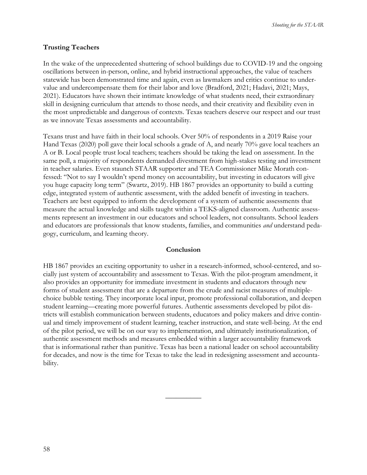#### **Trusting Teachers**

In the wake of the unprecedented shuttering of school buildings due to COVID-19 and the ongoing oscillations between in-person, online, and hybrid instructional approaches, the value of teachers statewide has been demonstrated time and again, even as lawmakers and critics continue to undervalue and undercompensate them for their labor and love (Bradford, 2021; Hadavi, 2021; Mays, 2021). Educators have shown their intimate knowledge of what students need, their extraordinary skill in designing curriculum that attends to those needs, and their creativity and flexibility even in the most unpredictable and dangerous of contexts. Texas teachers deserve our respect and our trust as we innovate Texas assessments and accountability.

Texans trust and have faith in their local schools. Over 50% of respondents in a 2019 Raise your Hand Texas (2020) poll gave their local schools a grade of A, and nearly 70% gave local teachers an A or B. Local people trust local teachers; teachers should be taking the lead on assessment. In the same poll, a majority of respondents demanded divestment from high-stakes testing and investment in teacher salaries. Even staunch STAAR supporter and TEA Commissioner Mike Morath confessed: "Not to say I wouldn't spend money on accountability, but investing in educators will give you huge capacity long term" (Swartz, 2019). HB 1867 provides an opportunity to build a cutting edge, integrated system of authentic assessment, with the added benefit of investing in teachers. Teachers are best equipped to inform the development of a system of authentic assessments that measure the actual knowledge and skills taught within a TEKS-aligned classroom. Authentic assessments represent an investment in our educators and school leaders, not consultants. School leaders and educators are professionals that know students, families, and communities *and* understand pedagogy, curriculum, and learning theory.

#### **Conclusion**

HB 1867 provides an exciting opportunity to usher in a research-informed, school-centered, and socially just system of accountability and assessment to Texas. With the pilot-program amendment, it also provides an opportunity for immediate investment in students and educators through new forms of student assessment that are a departure from the crude and racist measures of multiplechoice bubble testing. They incorporate local input, promote professional collaboration, and deepen student learning—creating more powerful futures. Authentic assessments developed by pilot districts will establish communication between students, educators and policy makers and drive continual and timely improvement of student learning, teacher instruction, and state well-being. At the end of the pilot period, we will be on our way to implementation, and ultimately institutionalization, of authentic assessment methods and measures embedded within a larger accountability framework that is informational rather than punitive. Texas has been a national leader on school accountability for decades, and now is the time for Texas to take the lead in redesigning assessment and accountability.

 $\overline{\phantom{a}}$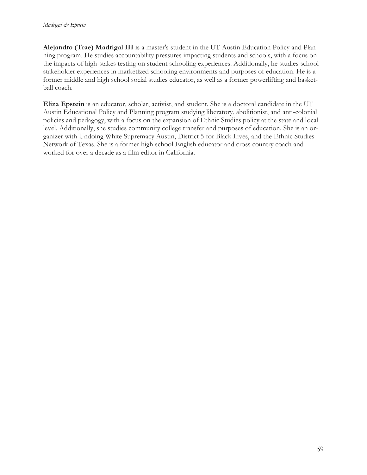**Alejandro (Trae) Madrigal III** is a master's student in the UT Austin Education Policy and Planning program. He studies accountability pressures impacting students and schools, with a focus on the impacts of high-stakes testing on student schooling experiences. Additionally, he studies school stakeholder experiences in marketized schooling environments and purposes of education. He is a former middle and high school social studies educator, as well as a former powerlifting and basketball coach.

**Eliza Epstein** is an educator, scholar, activist, and student. She is a doctoral candidate in the UT Austin Educational Policy and Planning program studying liberatory, abolitionist, and anti-colonial policies and pedagogy, with a focus on the expansion of Ethnic Studies policy at the state and local level. Additionally, she studies community college transfer and purposes of education. She is an organizer with Undoing White Supremacy Austin, District 5 for Black Lives, and the Ethnic Studies Network of Texas. She is a former high school English educator and cross country coach and worked for over a decade as a film editor in California.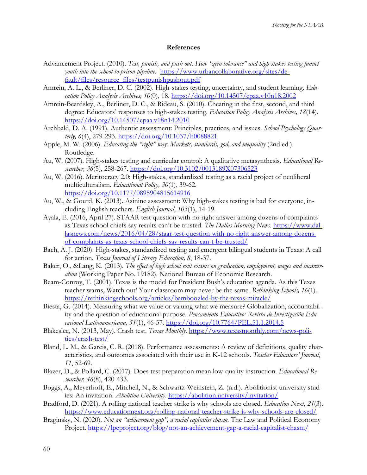#### **References**

- Advancement Project. (2010). *Test, punish, and push out: How "zero tolerance" and high-stakes testing funnel youth into the school-to-prison pipeline.* [https://www.urbancollaborative.org/sites/de](https://www.urbancollaborative.org/sites/default/files/resource_files/testpunishpushout.pdf)[fault/files/resource\\_files/testpunishpushout.pdf](https://www.urbancollaborative.org/sites/default/files/resource_files/testpunishpushout.pdf)
- Amrein, A. L., & Berliner, D. C. (2002). High-stakes testing, uncertainty, and student learning. *Education Policy Analysis Archives, 10*(0), 18.<https://doi.org/10.14507/epaa.v10n18.2002>
- Amrein-Beardsley, A., Berliner, D. C., & Rideau, S. (2010). Cheating in the first, second, and third degree: Educators' responses to high-stakes testing. *Education Policy Analysis Archives, 18*(14). <https://doi.org/10.14507/epaa.v18n14.2010>
- Archbald, D. A. (1991). Authentic assessment: Principles, practices, and issues. *School Psychology Quarterly, 6*(4), 279-293.<https://doi.org/10.1037/h0088821>
- Apple, M. W. (2006). *Educating the "right" way: Markets, standards, god, and inequality* (2nd ed.). Routledge.
- Au, W. (2007). High-stakes testing and curricular control: A qualitative metasynthesis. *Educational Researcher, 36*(5), 258-267.<https://doi.org/10.3102/0013189X07306523>
- Au, W. (2016). Meritocracy 2.0: High-stakes, standardized testing as a racial project of neoliberal multiculturalism. *Educational Policy, 30*(1), 39-62. <https://doi.org/10.1177/0895904815614916>
- Au, W., & Gourd, K. (2013). Asinine assessment: Why high-stakes testing is bad for everyone, including English teachers. *English Journal*, *103*(1), 14-19.
- Ayala, E. (2016, April 27). STAAR test question with no right answer among dozens of complaints as Texas school chiefs say results can't be trusted. *The Dallas Morning News*. [https://www.dal](https://www.dallasnews.com/news/2016/04/28/staar-test-question-with-no-right-answer-among-dozens-of-complaints-as-texas-school-chiefs-say-results-can-t-be-trusted/)[lasnews.com/news/2016/04/28/staar-test-question-with-no-right-answer-among-dozens](https://www.dallasnews.com/news/2016/04/28/staar-test-question-with-no-right-answer-among-dozens-of-complaints-as-texas-school-chiefs-say-results-can-t-be-trusted/)[of-complaints-as-texas-school-chiefs-say-results-can-t-be-trusted/](https://www.dallasnews.com/news/2016/04/28/staar-test-question-with-no-right-answer-among-dozens-of-complaints-as-texas-school-chiefs-say-results-can-t-be-trusted/)
- Bach, A. J. (2020). High-stakes, standardized testing and emergent bilingual students in Texas: A call for action. *Texas Journal of Literacy Education, 8*, 18-37.
- Baker, O., &Lang, K. (2013). *The effect of high school exit exams on graduation, employment, wages and incarceration* (Working Paper No. 19182). National Bureau of Economic Research.
- Beam-Conroy, T. (2001). Texas is the model for President Bush's education agenda. As this Texas teacher warns, Watch out! Your classroom may never be the same. *Rethinking Schools, 16*(1). <https://rethinkingschools.org/articles/bamboozled-by-the-texas-miracle/>
- Biesta, G. (2014). Measuring what we value or valuing what we measure? Globalization, accountability and the question of educational purpose. *Pensamiento Educativo: Revista de Investigación Educacional Latinoamericana, 51*(1), 46-57.<https://doi.org/10.7764/PEL.51.1.2014.5>
- Blakeslee, N. (2013, May). Crash test. *Texas Monthly*. [https://www.texasmonthly.com/news-poli](https://www.texasmonthly.com/news-politics/crash-test/)[tics/crash-test/](https://www.texasmonthly.com/news-politics/crash-test/)
- Bland, L. M., & Gareis, C. R. (2018). Performance assessments: A review of definitions, quality characteristics, and outcomes associated with their use in K-12 schools. *Teacher Educators' Journal*, *11*, 52-69.
- Blazer, D., & Pollard, C. (2017). Does test preparation mean low-quality instruction. *Educational Researcher, 46*(8), 420-433.
- Boggs, A., Meyerhoff, E., Mitchell, N., & Schwartz-Weinstein, Z. (n.d.). Abolitionist university studies: An invitation*. Abolition University*.<https://abolition.university/invitation/>
- Bradford, D. (2021). A rolling national teacher strike is why schools are closed. *Education Next*, *21*(3). <https://www.educationnext.org/rolling-national-teacher-strike-is-why-schools-are-closed/>
- Braginsky, N. (2020). *Not an "achievement gap", a racial capitalist chasm.* The Law and Political Economy Project.<https://lpeproject.org/blog/not-an-achievement-gap-a-racial-capitalist-chasm/>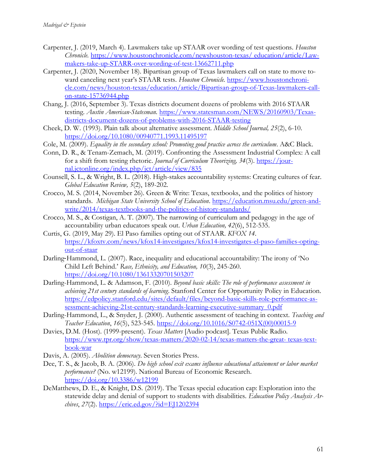- Carpenter, J. (2019, March 4). Lawmakers take up STAAR over wording of test questions. *Houston Chronicle.* [https://www.houstonchronicle.com/newshouston-texas/ education/article/Law](https://www.houstonchronicle.com/news/houston-texas/education/article/Lawmakers-take-up-STARR-over-wording-of-test-13662711.php)[makers-take-up-STARR-over-wording-of-test-13662711.php](https://www.houstonchronicle.com/news/houston-texas/education/article/Lawmakers-take-up-STARR-over-wording-of-test-13662711.php)
- Carpenter, J. (2020, November 18). Bipartisan group of Texas lawmakers call on state to move toward canceling next year's STAAR tests. *Houston Chronicle.* [https://www.houstonchroni](https://www.houstonchronicle.com/news/houston-texas/education/article/Bipartisan-group-of-Texas-lawmakers-call-on-state-15736944.php)[cle.com/news/houston-texas/education/article/Bipartisan-group-of-Texas-lawmakers-call](https://www.houstonchronicle.com/news/houston-texas/education/article/Bipartisan-group-of-Texas-lawmakers-call-on-state-15736944.php)[on-state-15736944.php](https://www.houstonchronicle.com/news/houston-texas/education/article/Bipartisan-group-of-Texas-lawmakers-call-on-state-15736944.php)
- Chang, J. (2016, September 3). Texas districts document dozens of problems with 2016 STAAR testing. *Austin American-Statesman.* [https://www.statesman.com/NEWS/20160903/Texas](https://www.statesman.com/NEWS/20160903/Texas-districts-document-dozens-of-problems-with-2016-STAAR-testing)[districts-document-dozens-of-problems-with-2016-STAAR-testing](https://www.statesman.com/NEWS/20160903/Texas-districts-document-dozens-of-problems-with-2016-STAAR-testing)
- Cheek, D. W. (1993). Plain talk about alternative assessment. *Middle School Journal, 25*(2), 6-10. <https://doi.org/10.1080/00940771.1993.11495197>
- Cole, M. (2009). *Equality in the secondary school: Promoting good practice across the curriculum*. A&C Black.
- Conn, D. R., & Tenam-Zemach, M. (2019). Confronting the Assessment Industrial Complex: A call for a shift from testing rhetoric. *Journal of Curriculum Theorizing, 34*(3). [https://jour](https://journal.jctonline.org/index.php/jct/article/view/835)[nal.jctonline.org/index.php/jct/article/view/835](https://journal.jctonline.org/index.php/jct/article/view/835)
- Counsell, S. L., & Wright, B. L. (2018). High-stakes accountability systems: Creating cultures of fear. *Global Education Review, 5*(2), 189-202.
- Crocco, M. S. (2014, November 26). Green & Write: Texas, textbooks, and the politics of history standards. *Michigan State University School of Education*. [https://education.msu.edu/green-and](https://education.msu.edu/green-and-write/2014/texas-textbooks-and-the-politics-of-history-standards/)[write/2014/texas-textbooks-and-the-politics-of-history-standards/](https://education.msu.edu/green-and-write/2014/texas-textbooks-and-the-politics-of-history-standards/)
- Crocco, M. S., & Costigan, A. T. (2007). The narrowing of curriculum and pedagogy in the age of accountability urban educators speak out. *Urban Education, 42*(6), 512-535.
- Curtis, G. (2019, May 29). El Paso families opting out of STAAR. *KFOX 14*. [https://kfoxtv.com/news/kfox14-investigates/kfox14-investigates-el-paso-families-opting](https://kfoxtv.com/news/kfox14-investigates/kfox14-investigates-el-paso-families-opting-out-of-staar)[out-of-staar](https://kfoxtv.com/news/kfox14-investigates/kfox14-investigates-el-paso-families-opting-out-of-staar)
- Darling-Hammond, L. (2007). Race, inequality and educational accountability: The irony of 'No Child Left Behind.' *Race, Ethnicity, and Education, 10*(3), 245-260. <https://doi.org/10.1080/13613320701503207>
- Darling-Hammond, L. & Adamson, F. (2010). *Beyond basic skills: The role of performance assessment in achieving 21st century standards of learning*. Stanford Center for Opportunity Policy in Education. [https://edpolicy.stanford.edu/sites/default/files/beyond-basic-skills-role-performance-as](https://edpolicy.stanford.edu/sites/default/files/beyond-basic-skills-role-performance-assessment-achieving-21st-century-standards-learning-executive-summary_0.pdf)[sessment-achieving-21st-century-standards-learning-executive-summary\\_0.pdf](https://edpolicy.stanford.edu/sites/default/files/beyond-basic-skills-role-performance-assessment-achieving-21st-century-standards-learning-executive-summary_0.pdf)
- Darling-Hammond, L., & Snyder, J. (2000). Authentic assessment of teaching in context. *Teaching and Teacher Education*, *16*(5), 523-545. [https://doi.org/10.1016/S0742-051X\(00\)00015-9](https://doi.org/10.1016/S0742-051X(00)00015-9)
- Davies, D.M. (Host). (1999-present). *Texas Matters* [Audio podcast]. Texas Public Radio. [https://www.tpr.org/show/texas-matters/2020-02-14/texas-matters-the-great-](https://www.tpr.org/show/texas-matters/2020-02-14/texas-matters-the-great-texas-textbook-war) texas-text[book-war](https://www.tpr.org/show/texas-matters/2020-02-14/texas-matters-the-great-texas-textbook-war)
- Davis, A. (2005). *Abolition democracy*. Seven Stories Press.
- Dee, T. S., & Jacob, B. A. (2006). *Do high school exit exams influence educational attainment or labor market performance?* (No. w12199). National Bureau of Economic Research. <https://doi.org/10.3386/w12199>
- DeMatthews, D. E., & Knight, D.S. (2019). The Texas special education cap: Exploration into the statewide delay and denial of support to students with disabilities. *Education Policy Analysis Archives*, *27*(2).<https://eric.ed.gov/?id=EJ1202394>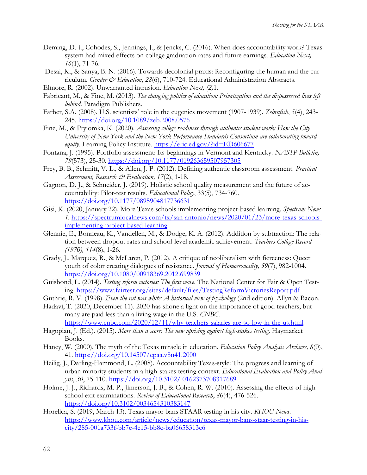- Deming, D. J., Cohodes, S., Jennings, J., & Jencks, C. (2016). When does accountability work? Texas system had mixed effects on college graduation rates and future earnings. *Education Next, 16*(1), 71-76.
- Desai, K., & Sanya, B. N. (2016). Towards decolonial praxis: Reconfiguring the human and the curriculum. *Gender & Education*, *28*(6), 710-724. Educational Administration Abstracts.
- Elmore, R. (2002). Unwarranted intrusion. *Education Next, (2)*1.
- Fabricant, M., & Fine, M. (2013). *The changing politics of education: Privatization and the dispossessed lives left behind*. Paradigm Publishers.
- Farber, S.A. (2008). U.S. scientists' role in the eugenics movement (1907-1939). *Zebrafish*, *5*(4), 243 245.<https://doi.org/10.1089/zeb.2008.0576>
- Fine, M., & Pryiomka, K. (2020). *Assessing college readiness through authentic student work: How the City University of New York and the New York Performance Standards Consortium are collaborating toward*  equity. Learning Policy Institute.<https://eric.ed.gov/?id=ED606677>
- Fontana, J. (1995). Portfolio assessment: Its beginnings in Vermont and Kentucky. *NASSP Bulletin, 79*(573), 25-30.<https://doi.org/10.1177/019263659507957305>
- Frey, B. B., Schmitt, V. L., & Allen, J. P. (2012). Defining authentic classroom assessment. *Practical Assessment, Research & Evaluation, 17*(2), 1-18.
- Gagnon, D. J., & Schneider, J. (2019). Holistic school quality measurement and the future of accountability: Pilot-test results. *Educational Policy*, 33(5), 734-760. <https://doi.org/10.1177/0895904817736631>
- Gisi, K. (2020, January 22). More Texas schools implementing project-based learning. *Spectrum News 1.* [https://spectrumlocalnews.com/tx/san-antonio/news/2020/01/23/more-texas-schools](https://spectrumlocalnews.com/tx/san-antonio/news/2020/01/23/more-texas-schools-implementing-project-based-learning)[implementing-project-based-learning](https://spectrumlocalnews.com/tx/san-antonio/news/2020/01/23/more-texas-schools-implementing-project-based-learning)
- Glennie, E., Bonneau, K., Vandellen, M., & Dodge, K. A. (2012). Addition by subtraction: The relation between dropout rates and school-level academic achievement. *Teachers College Record (1970), 114*(8), 1-26.
- Grady, J., Marquez, R., & McLaren, P. (2012). A critique of neoliberalism with fierceness: Queer youth of color creating dialogues of resistance. *Journal of Homosexuality, 59*(7), 982-1004. <https://doi.org/10.1080/00918369.2012.699839>
- Guisbond, L. (2014). *Testing reform victories: The first wave.* The National Center for Fair & Open Testing.<https://www.fairtest.org/sites/default/files/TestingReformVictoriesReport.pdf>
- Guthrie, R. V. (1998). *Even the rat was white: A historical view of psychology* (2nd edition). Allyn & Bacon.
- Hadavi, T. (2020, December 11). 2020 has shone a light on the importance of good teachers, but many are paid less than a living wage in the U.S. *CNBC.*

<https://www.cnbc.com/2020/12/11/why-teachers-salaries-are-so-low-in-the-us.html>

- Hagopian, J. (Ed.). (2015). *More than a score: The new uprising against high-stakes testing*. Haymarket Books.
- Haney, W. (2000). The myth of the Texas miracle in education. *Education Policy Analysis Archives, 8*(0), 41.<https://doi.org/10.14507/epaa.v8n41.2000>
- Heilig, J., Darling-Hammond, L. (2008). Accountability Texas-style: The progress and learning of urban minority students in a high-stakes testing context. *Educational Evaluation and Policy Analysis*, *30*, 75-110. [https://doi.org/10.3102/ 0162373708317689](https://doi.org/10.3102/0162373708317689)
- Holme, J. J., Richards, M. P., Jimerson, J. B., & Cohen, R. W. (2010). Assessing the effects of high school exit examinations. *Review of Educational Research*, *80*(4), 476-526. <https://doi.org/10.3102/0034654310383147>
- Horelica, S. (2019, March 13). Texas mayor bans STAAR testing in his city. *KHOU News*. [https://www.khou.com/article/news/education/texas-mayor-bans-staar-testing-in-his](https://www.khou.com/article/news/education/texas-mayor-bans-staar-testing-in-his-city/285-001a733f-bb7e-4e15-bb8c-ba06658313c6)[city/285-001a733f-bb7e-4e15-bb8c-ba06658313c6](https://www.khou.com/article/news/education/texas-mayor-bans-staar-testing-in-his-city/285-001a733f-bb7e-4e15-bb8c-ba06658313c6)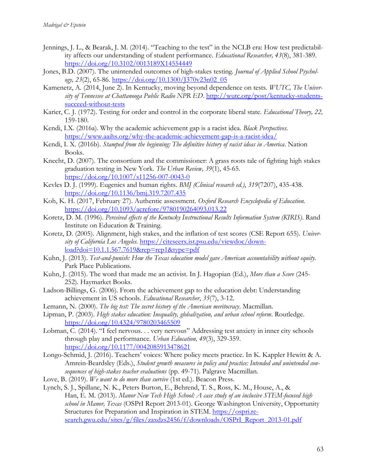- Jennings, J. L., & Bearak, J. M. (2014). "Teaching to the test" in the NCLB era: How test predictability affects our understanding of student performance. *Educational Researcher, 43*(8), 381-389. <https://doi.org/10.3102/0013189X14554449>
- Jones, B.D. (2007). The unintended outcomes of high-stakes testing. *Journal of Applied School Psychology, 23*(2), 65-86. [https://doi.org/10.1300/J370v23n02\\_05](https://doi.org/10.1300/J370v23n02_05)
- Kamenetz, A. (2014, June 2). In Kentucky, moving beyond dependence on tests. *WUTC, The University of Tennessee at Chattanooga Public Radio NPR ED*. [http://wutc.org/post/kentucky-students](http://wutc.org/post/kentucky-students-succeed-without-tests)[succeed-without-tests](http://wutc.org/post/kentucky-students-succeed-without-tests)
- Karier, C. J. (1972). Testing for order and control in the corporate liberal state. *Educational Theory, 22,* 159-180.
- Kendi, I.X. (2016a). Why the academic achievement gap is a racist idea. *Black Perspectives*. <https://www.aaihs.org/why-the-academic-achievement-gap-is-a-racist-idea/>
- Kendi, I. X. (2016b). *Stamped from the beginning: The definitive history of racist ideas in America*. Nation Books.
- Knecht, D. (2007). The consortium and the commissioner: A grass roots tale of fighting high stakes graduation testing in New York. *The Urban Review, 39*(1), 45-65. <https://doi.org/10.1007/s11256-007-0043-0>
- Kevles D. J. (1999). Eugenics and human rights. *BMJ (Clinical research ed.)*, *319*(7207), 435-438. <https://doi.org/10.1136/bmj.319.7207.435>
- Koh, K. H. (2017, February 27). Authentic assessment. *Oxford Research Encyclopedia of Education.* <https://doi.org/10.1093/acrefore/9780190264093.013.22>
- Koretz, D. M. (1996). *Perceived effects of the Kentucky Instructional Results Information System (KIRIS)*. Rand Institute on Education & Training.
- Koretz, D. (2005). Alignment, high stakes, and the inflation of test scores (CSE Report 655). *University of California Los Angeles.* [https://citeseerx.ist.psu.edu/viewdoc/down](https://citeseerx.ist.psu.edu/viewdoc/download?doi=10.1.1.567.7619&rep=rep1&type=pdf)[load?doi=10.1.1.567.7619&rep=rep1&type=pdf](https://citeseerx.ist.psu.edu/viewdoc/download?doi=10.1.1.567.7619&rep=rep1&type=pdf)
- Kuhn, J. (2013). *Test-and-punish: How the Texas education model gave American accountability without equity.*  Park Place Publications.
- Kuhn, J. (2015). The word that made me an activist. In J. Hagopian (Ed.), *More than a Score* (245- 252). Haymarket Books.
- Ladson-Billings, G. (2006). From the achievement gap to the education debt: Understanding achievement in US schools. *Educational Researcher*, *35*(7), 3-12.
- Lemann, N. (2000). *The big test: The secret history of the American meritocracy*. Macmillan.
- Lipman, P. (2003). *High stakes education: Inequality, globalization, and urban school reform*. Routledge. <https://doi.org/10.4324/9780203465509>
- Lobman, C. (2014). "I feel nervous. . . very nervous" Addressing test anxiety in inner city schools through play and performance. *Urban Education, 49*(3), 329-359. <https://doi.org/10.1177/0042085913478621>
- Longo-Schmid, J. (2016). Teachers' voices: Where policy meets practice. In K. Kappler Hewitt & A. Amrein-Beardsley (Eds.), *Student growth measures in policy and practice: Intended and unintended consequences of high-stakes teacher evaluations* (pp. 49-71). Palgrave Macmillan.
- Love, B. (2019). *We want to do more than survive* (1st ed.). Beacon Press.
- Lynch, S. J., Spillane, N. K., Peters Burton, E., Behrend, T. S., Ross, K. M., House, A., & Han, E. M. (2013). *Manor New Tech High School: A case study of an inclusive STEM-focused high school in Manor, Texas* (OSPrI Report 2013-01). George Washington University, Opportunity Structures for Preparation and Inspiration in STEM. [https://ospri.re](https://ospri.research.gwu.edu/sites/g/files/zaxdzs2456/f/downloads/OSPrI_Report_2013-01.pdf)[search.gwu.edu/sites/g/files/zaxdzs2456/f/downloads/OSPrI\\_Report\\_2013-01.pdf](https://ospri.research.gwu.edu/sites/g/files/zaxdzs2456/f/downloads/OSPrI_Report_2013-01.pdf)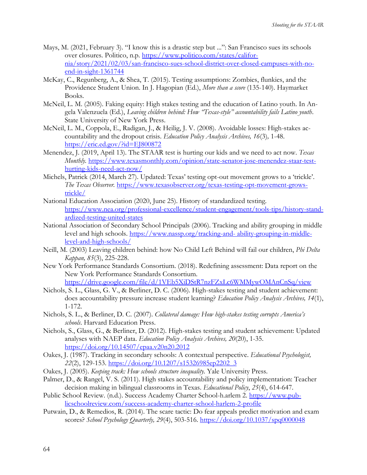- Mays, M. (2021, February 3). "I know this is a drastic step but ...": San Francisco sues its schools over closures. Politico, n.p. [https://www.politico.com/states/califor](https://www.politico.com/states/california/story/2021/02/03/san-francisco-sues-school-district-over-closed-campuses-with-no-end-in-sight-1361744)[nia/story/2021/02/03/san-francisco-sues-school-district-over-closed-campuses-with-no](https://www.politico.com/states/california/story/2021/02/03/san-francisco-sues-school-district-over-closed-campuses-with-no-end-in-sight-1361744)[end-in-sight-1361744](https://www.politico.com/states/california/story/2021/02/03/san-francisco-sues-school-district-over-closed-campuses-with-no-end-in-sight-1361744)
- McKay, C., Regunberg, A., & Shea, T. (2015). Testing assumptions: Zombies, flunkies, and the Providence Student Union. In J. Hagopian (Ed.), *More than a score* (135-140). Haymarket Books*.*
- McNeil, L. M. (2005). Faking equity: High stakes testing and the education of Latino youth. In Angela Valenzuela (Ed.), *Leaving children behind: How "Texas-style" accountability fails Latino youth*. State University of New York Press.
- McNeil, L. M., Coppola, E., Radigan, J., & Heilig, J. V. (2008). Avoidable losses: High-stakes accountability and the dropout crisis. *Education Policy Analysis Archives, 16*(3)*,* 1-48. <https://eric.ed.gov/?id=EJ800872>
- Menendez, J. (2019, April 13). The STAAR test is hurting our kids and we need to act now. *Texas Monthly.* [https://www.texasmonthly.com/opinion/state-senator-jose-menendez-staar-test](https://www.texasmonthly.com/opinion/state-senator-jose-menendez-staar-test-hurting-kids-need-act-now/)[hurting-kids-need-act-now/](https://www.texasmonthly.com/opinion/state-senator-jose-menendez-staar-test-hurting-kids-need-act-now/)
- Michels, Patrick (2014, March 27). Updated: Texas' testing opt-out movement grows to a 'trickle'. *The Texas Observer.* [https://www.texasobserver.org/texas-testing-opt-movement-grows](https://www.texasobserver.org/texas-testing-opt-movement-grows-trickle/)[trickle/](https://www.texasobserver.org/texas-testing-opt-movement-grows-trickle/)
- National Education Association (2020, June 25). History of standardized testing. [https://www.nea.org/professional-excellence/student-engagement/tools-tips/history-stand](https://www.nea.org/professional-excellence/student-engagement/tools-tips/history-standardized-testing-united-states)[ardized-testing-united-states](https://www.nea.org/professional-excellence/student-engagement/tools-tips/history-standardized-testing-united-states)
- National Association of Secondary School Principals (2006). Tracking and ability grouping in middle level and high schools. [https://www.nassp.org/tracking-and-](https://www.nassp.org/tracking-and-ability-grouping-in-middle-level-and-high-schools/) ability-grouping-in-middle[level-and-high-schools/](https://www.nassp.org/tracking-and-ability-grouping-in-middle-level-and-high-schools/)
- Neill, M. (2003) Leaving children behind: how No Child Left Behind will fail our children, *Phi Delta Kappan, 85*(3), 225-228.
- New York Performance Standards Consortium. (2018). Redefining assessment: Data report on the New York Performance Standards Consortium. <https://drive.google.com/file/d/1VEb5XiDStR7nzFZxLc6WMMywOMAnCnSq/view>
- Nichols, S. L., Glass, G. V., & Berliner, D. C. (2006). High-stakes testing and student achievement: does accountability pressure increase student learning? *Education Policy Analysis Archives, 14*(1), 1-172.
- Nichols, S. L., & Berliner, D. C. (2007). *Collateral damage: How high-stakes testing corrupts America's schools*. Harvard Education Press.
- Nichols, S., Glass, G., & Berliner, D. (2012). High-stakes testing and student achievement: Updated analyses with NAEP data. *Education Policy Analysis Archives, 20*(20), 1-35. <https://doi.org/10.14507/epaa.v20n20.2012>
- Oakes, J. (1987). Tracking in secondary schools: A contextual perspective. *Educational Psychologist, 22*(2), 129-153. [https://doi.org/10.1207/s15326985ep2202\\_3](https://doi.org/10.1207/s15326985ep2202_3)
- Oakes, J. (2005). *Keeping track: How schools structure inequality.* Yale University Press.
- Palmer, D., & Rangel, V. S. (2011). High stakes accountability and policy implementation: Teacher decision making in bilingual classrooms in Texas. *Educational Policy*, *25*(4), 614-647.
- Public School Review. (n.d.). Success Academy Charter School-h.arlem 2. [https://www.pub](https://www.publicschoolreview.com/success-academy-charter-school-harlem-2-profile)[licschoolreview.com/success-academy-charter-school-harlem-2-profile](https://www.publicschoolreview.com/success-academy-charter-school-harlem-2-profile)
- Putwain, D., & Remedios, R. (2014). The scare tactic: Do fear appeals predict motivation and exam scores? *School Psychology Quarterly, 29*(4), 503-516.<https://doi.org/10.1037/spq0000048>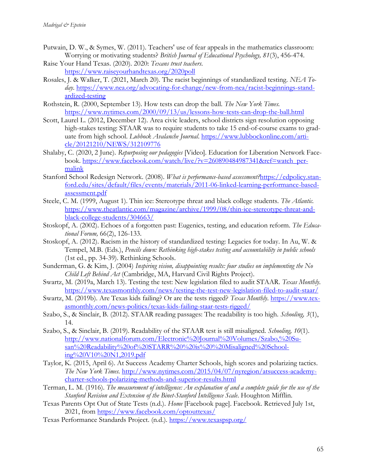- Putwain, D. W., & Symes, W. (2011). Teachers' use of fear appeals in the mathematics classroom: Worrying or motivating students? *British Journal of Educational Psychology, 81*(3), 456-474.
- Raise Your Hand Texas. (2020). 2020: *Texans trust teachers*. <https://www.raiseyourhandtexas.org/2020poll>
- Rosales, J. & Walker, T. (2021, March 20). The racist beginnings of standardized testing. *NEA Today*. [https://www.nea.org/advocating-for-change/new-from-nea/racist-beginnings-stand](https://www.nea.org/advocating-for-change/new-from-nea/racist-beginnings-standardized-testing)[ardized-testing](https://www.nea.org/advocating-for-change/new-from-nea/racist-beginnings-standardized-testing)
- Rothstein, R. (2000, September 13). How tests can drop the ball. *The New York Times.*  <https://www.nytimes.com/2000/09/13/us/lessons-how-tests-can-drop-the-ball.html>
- Scott, Laurel L. (2012, December 12). Area civic leaders, school districts sign resolution opposing high-stakes testing: STAAR was to require students to take 15 end-of-course exams to graduate from high school. *Lubbock Avalanche Journal*. [https://www.lubbockonline.com/arti](https://www.lubbockonline.com/article/20121210/NEWS/312109776)[cle/20121210/NEWS/312109776](https://www.lubbockonline.com/article/20121210/NEWS/312109776)
- Shalaby, C. (2020, 2 June). *Repurposing our pedagogies* [Video]. Education for Liberation Network Facebook. [https://www.facebook.com/watch/live/?v=260890484987341&ref=watch\\_per](https://www.facebook.com/watch/live/?v=260890484987341&ref=watch_permalink)[malink](https://www.facebook.com/watch/live/?v=260890484987341&ref=watch_permalink)
- Stanford School Redesign Network. (2008). *What is performance-based assessment?*[https://edpolicy.stan](https://edpolicy.stanford.edu/sites/default/files/events/materials/2011-06-linked-learning-performance-based-assessment.pdf)[ford.edu/sites/default/files/events/materials/2011-06-linked-learning-performance-based](https://edpolicy.stanford.edu/sites/default/files/events/materials/2011-06-linked-learning-performance-based-assessment.pdf)[assessment.pdf](https://edpolicy.stanford.edu/sites/default/files/events/materials/2011-06-linked-learning-performance-based-assessment.pdf)
- Steele, C. M. (1999, August 1). Thin ice: Stereotype threat and black college students. *The Atlantic.*  [https://www.theatlantic.com/magazine/archive/1999/08/thin-ice-stereotype-threat-and](https://www.theatlantic.com/magazine/archive/1999/08/thin-ice-stereotype-threat-and-black-college-students/304663/)[black-college-students/304663/](https://www.theatlantic.com/magazine/archive/1999/08/thin-ice-stereotype-threat-and-black-college-students/304663/)
- Stoskopf, A. (2002). Echoes of a forgotten past: Eugenics, testing, and education reform. *The Educational Forum,* 66(2), 126-133.
- Stoskopf, A. (2012). Racism in the history of standardized testing: Legacies for today. In Au, W. & Tempel, M.B. (Eds.), *Pencils down: Rethinking high-stakes testing and accountability in public schools* (1st ed., pp. 34-39). Rethinking Schools.
- Sunderman, G. & Kim, J. (2004) *Inspiring vision, disappointing results: four studies on implementing the No Child Left Behind Act* (Cambridge, MA, Harvard Civil Rights Project).
- Swartz, M. (2019a, March 13). Testing the test: New legislation filed to audit STAAR. *Texas Monthly*. <https://www.texasmonthly.com/news/testing-the-test-new-legislation-filed-to-audit-staar/>
- Swartz, M. (2019b). Are Texas kids failing? Or are the tests rigged? *Texas Monthly*. [https://www.tex](https://www.texasmonthly.com/news-politics/texas-kids-failing-staar-tests-rigged/)[asmonthly.com/news-politics/texas-kids-failing-staar-tests-rigged/](https://www.texasmonthly.com/news-politics/texas-kids-failing-staar-tests-rigged/)
- Szabo, S., & Sinclair, B. (2012). STAAR reading passages: The readability is too high. *Schooling, 3*(1), 14.
- Szabo, S., & Sinclair, B. (2019). Readability of the STAAR test is still misaligned. *Schooling, 10*(1). [http://www.nationalforum.com/Electronic%20Journal%20Volumes/Szabo,%20Su](http://www.nationalforum.com/Electronic%20Journal%20Volumes/Szabo,%20Susan%20Readability%20of%20STARR%20%20is%20%20Misaligned%20Schooling%20V10%20N1,2019.pdf)[san%20Readability%20of%20STARR%20%20is%20%20Misaligned%20School](http://www.nationalforum.com/Electronic%20Journal%20Volumes/Szabo,%20Susan%20Readability%20of%20STARR%20%20is%20%20Misaligned%20Schooling%20V10%20N1,2019.pdf)[ing%20V10%20N1,2019.pdf](http://www.nationalforum.com/Electronic%20Journal%20Volumes/Szabo,%20Susan%20Readability%20of%20STARR%20%20is%20%20Misaligned%20Schooling%20V10%20N1,2019.pdf)
- Taylor, K. (2015, April 6). At Success Academy Charter Schools, high scores and polarizing tactics. *The New York Times.* [http://www.nytimes.com/2015/04/07/nyregion/atsuccess-academy](http://www.nytimes.com/2015/04/07/nyregion/atsuccess-academy-charter-schools-polarizing-methods-and-superior-results.html)[charter-schools-polarizing-methods-and-superior-results.html](http://www.nytimes.com/2015/04/07/nyregion/atsuccess-academy-charter-schools-polarizing-methods-and-superior-results.html)
- Terman, L. M. (1916). *The measurement of intelligence: An explanation of and a complete guide for the use of the Stanford Revision and Extension of the Binet-Stanford Intelligence Scale*. Houghton Mifflin.
- Texas Parents Opt Out of State Tests (n.d.). *Home* [Facebook page]. Facebook. Retrieved July 1st, 2021, from<https://www.facebook.com/optouttexas/>
- Texas Performance Standards Project. (n.d.).<https://www.texaspsp.org/>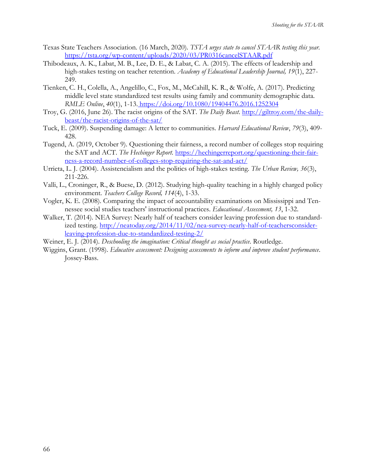- Texas State Teachers Association. (16 March, 2020). *TSTA urges state to cancel STAAR testing this year.*  <https://tsta.org/wp-content/uploads/2020/03/PR0316cancelSTAAR.pdf>
- Thibodeaux, A. K., Labat, M. B., Lee, D. E., & Labat, C. A. (2015). The effects of leadership and high-stakes testing on teacher retention. *Academy of Educational Leadership Journal, 19*(1), 227- 249.
- Tienken, C. H., Colella, A., Angelillo, C., Fox, M., McCahill, K. R., & Wolfe, A. (2017). Predicting middle level state standardized test results using family and community demographic data. *RMLE Online*, *40*(1), 1-13[.](https://doi.org/10.1080/19404476.2016.1252304) <https://doi.org/10.1080/19404476.2016.1252304>
- Troy, G. (2016, June 26). The racist origins of the SAT. *The Daily Beast*. [http://giltroy.com/the-daily](http://giltroy.com/the-daily-beast/the-racist-origins-of-the-sat/)[beast/the-racist-origins-of-the-sat/](http://giltroy.com/the-daily-beast/the-racist-origins-of-the-sat/)
- Tuck, E. (2009). Suspending damage: A letter to communities. *Harvard Educational Review*, *79*(3), 409- 428.
- Tugend, A. (2019, October 9). Questioning their fairness, a record number of colleges stop requiring the SAT and ACT. *The Hechinger Report.* [https://hechingerreport.org/questioning-their-fair](https://hechingerreport.org/questioning-their-fairness-a-record-number-of-colleges-stop-requiring-the-sat-and-act/)[ness-a-record-number-of-colleges-stop-requiring-the-sat-and-act/](https://hechingerreport.org/questioning-their-fairness-a-record-number-of-colleges-stop-requiring-the-sat-and-act/)
- Urrieta, L. J. (2004). Assistencialism and the politics of high-stakes testing. *The Urban Review, 36*(3), 211-226.
- Valli, L., Croninger, R., & Buese, D. (2012). Studying high-quality teaching in a highly charged policy environment. *Teachers College Record, 114*(4), 1-33.
- Vogler, K. E. (2008). Comparing the impact of accountability examinations on Mississippi and Tennessee social studies teachers' instructional practices. *Educational Assessment, 13*, 1-32.
- Walker, T. (2014). NEA Survey: Nearly half of teachers consider leaving profession due to standardized testing. [http://neatoday.org/2014/11/02/nea-survey-nearly-half-of-teachersconsider](http://neatoday.org/2014/11/02/nea-survey-nearly-half-of-teachersconsider-leaving-profession-due-to-standardized-testing-2/)[leaving-profession-due-to-standardized-testing-2/](http://neatoday.org/2014/11/02/nea-survey-nearly-half-of-teachersconsider-leaving-profession-due-to-standardized-testing-2/)
- Weiner, E. J. (2014). *Deschooling the imagination: Critical thought as social practice*. Routledge.
- Wiggins, Grant. (1998). *Educative assessment: Designing assessments to inform and improve student performance*. Jossey-Bass.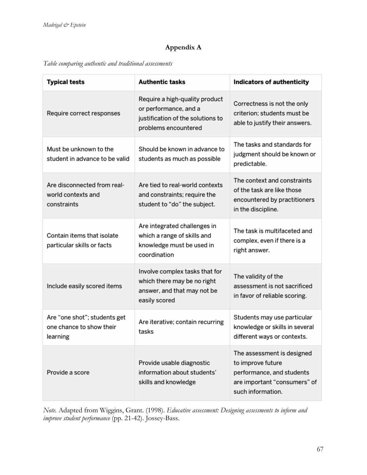## **Appendix A**

*Table comparing authentic and traditional assessments*

| <b>Typical tests</b>                                                 | <b>Authentic tasks</b>                                                                                               | <b>Indicators of authenticity</b>                                                                                                 |
|----------------------------------------------------------------------|----------------------------------------------------------------------------------------------------------------------|-----------------------------------------------------------------------------------------------------------------------------------|
| Require correct responses                                            | Require a high-quality product<br>or performance, and a<br>justification of the solutions to<br>problems encountered | Correctness is not the only<br>criterion; students must be<br>able to justify their answers.                                      |
| Must be unknown to the<br>student in advance to be valid             | Should be known in advance to<br>students as much as possible                                                        | The tasks and standards for<br>judgment should be known or<br>predictable.                                                        |
| Are disconnected from real-<br>world contexts and<br>constraints     | Are tied to real-world contexts<br>and constraints; require the<br>student to "do" the subject.                      | The context and constraints<br>of the task are like those<br>encountered by practitioners<br>in the discipline.                   |
| Contain items that isolate<br>particular skills or facts             | Are integrated challenges in<br>which a range of skills and<br>knowledge must be used in<br>coordination             | The task is multifaceted and<br>complex, even if there is a<br>right answer.                                                      |
| Include easily scored items                                          | Involve complex tasks that for<br>which there may be no right<br>answer, and that may not be<br>easily scored        | The validity of the<br>assessment is not sacrificed<br>in favor of reliable scoring.                                              |
| Are "one shot"; students get<br>one chance to show their<br>learning | Are iterative; contain recurring<br>tasks                                                                            | Students may use particular<br>knowledge or skills in several<br>different ways or contexts.                                      |
| Provide a score                                                      | Provide usable diagnostic<br>information about students'<br>skills and knowledge                                     | The assessment is designed<br>to improve future<br>performance, and students<br>are important "consumers" of<br>such information. |

*Note.* Adapted from Wiggins, Grant. (1998). *Educative assessment: Designing assessments to inform and improve student performance* (pp. 21-42). Jossey-Bass.